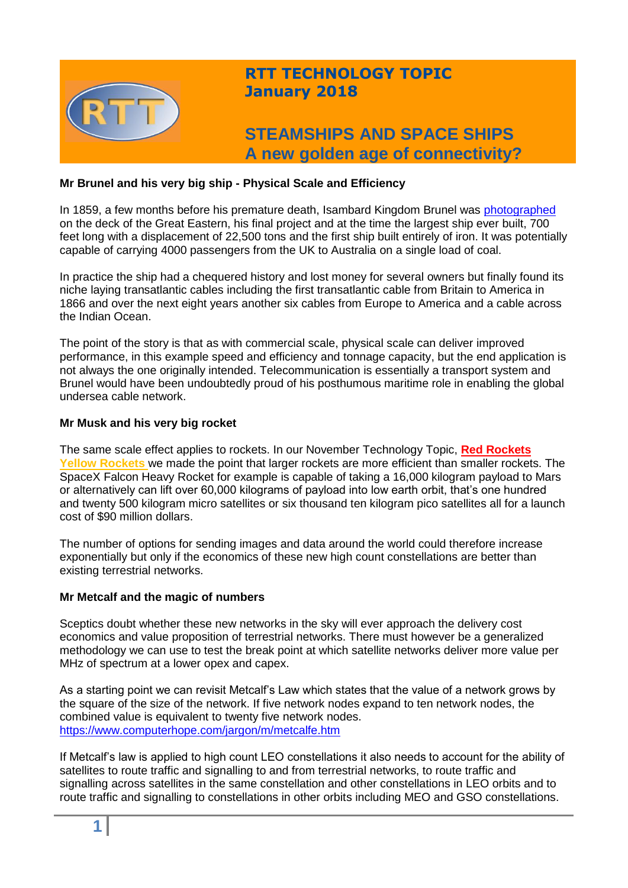

# **RTT TECHNOLOGY TOPIC January 2018**

# **STEAMSHIPS AND SPACE SHIPS A new golden age of connectivity?**

## **Mr Brunel and his very big ship - Physical Scale and Efficiency**

In 1859, a few months before his premature death, Isambard Kingdom Brunel was [photographed](http://www.ssgreatbritain.org/your-visit/collection-stories/brunel-aboard-great-eastern) on the deck of the Great Eastern, his final project and at the time the largest ship ever built, 700 feet long with a displacement of 22,500 tons and the first ship built entirely of iron. It was potentially capable of carrying 4000 passengers from the UK to Australia on a single load of coal.

In practice the ship had a chequered history and lost money for several owners but finally found its niche laying transatlantic cables including the first transatlantic cable from Britain to America in 1866 and over the next eight years another six cables from Europe to America and a cable across the Indian Ocean.

The point of the story is that as with commercial scale, physical scale can deliver improved performance, in this example speed and efficiency and tonnage capacity, but the end application is not always the one originally intended. Telecommunication is essentially a transport system and Brunel would have been undoubtedly proud of his posthumous maritime role in enabling the global undersea cable network.

## **Mr Musk and his very big rocket**

The same scale effect applies to rockets. In our November Technology Topic, **[Red Rockets](https://www.linkedin.com/pulse/red-rockets-yellow-geoff-varrall/) [Yellow Rockets](https://www.linkedin.com/pulse/red-rockets-yellow-geoff-varrall/)** we made the point that larger rockets are more efficient than smaller rockets. The SpaceX Falcon Heavy Rocket for example is capable of taking a 16,000 kilogram payload to Mars or alternatively can lift over 60,000 kilograms of payload into low earth orbit, that's one hundred and twenty 500 kilogram micro satellites or six thousand ten kilogram pico satellites all for a launch cost of \$90 million dollars.

The number of options for sending images and data around the world could therefore increase exponentially but only if the economics of these new high count constellations are better than existing terrestrial networks.

## **Mr Metcalf and the magic of numbers**

Sceptics doubt whether these new networks in the sky will ever approach the delivery cost economics and value proposition of terrestrial networks. There must however be a generalized methodology we can use to test the break point at which satellite networks deliver more value per MHz of spectrum at a lower opex and capex.

As a starting point we can revisit Metcalf's Law which states that the value of a network grows by the square of the size of the network. If five network nodes expand to ten network nodes, the combined value is equivalent to twenty five network nodes. <https://www.computerhope.com/jargon/m/metcalfe.htm>

If Metcalf's law is applied to high count LEO constellations it also needs to account for the ability of satellites to route traffic and signalling to and from terrestrial networks, to route traffic and signalling across satellites in the same constellation and other constellations in LEO orbits and to route traffic and signalling to constellations in other orbits including MEO and GSO constellations.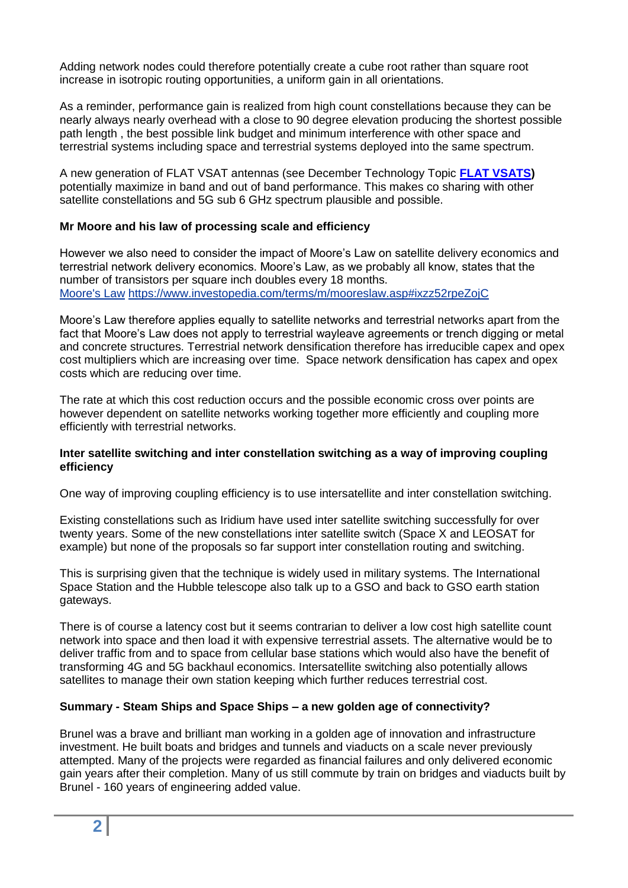Adding network nodes could therefore potentially create a cube root rather than square root increase in isotropic routing opportunities, a uniform gain in all orientations.

As a reminder, performance gain is realized from high count constellations because they can be nearly always nearly overhead with a close to 90 degree elevation producing the shortest possible path length , the best possible link budget and minimum interference with other space and terrestrial systems including space and terrestrial systems deployed into the same spectrum.

A new generation of FLAT VSAT antennas (see December Technology Topic **[FLAT VSATS\)](http://www.rttonline.com/tt/TT2017_012.pdf)** potentially maximize in band and out of band performance. This makes co sharing with other satellite constellations and 5G sub 6 GHz spectrum plausible and possible.

## **Mr Moore and his law of processing scale and efficiency**

However we also need to consider the impact of Moore's Law on satellite delivery economics and terrestrial network delivery economics. Moore's Law, as we probably all know, states that the number of transistors per square inch doubles every 18 months. [Moore's Law](https://www.investopedia.com/terms/m/mooreslaw.asp#ixzz52rpeZojC) <https://www.investopedia.com/terms/m/mooreslaw.asp#ixzz52rpeZojC>

Moore's Law therefore applies equally to satellite networks and terrestrial networks apart from the fact that Moore's Law does not apply to terrestrial wayleave agreements or trench digging or metal and concrete structures. Terrestrial network densification therefore has irreducible capex and opex cost multipliers which are increasing over time. Space network densification has capex and opex costs which are reducing over time.

The rate at which this cost reduction occurs and the possible economic cross over points are however dependent on satellite networks working together more efficiently and coupling more efficiently with terrestrial networks.

#### **Inter satellite switching and inter constellation switching as a way of improving coupling efficiency**

One way of improving coupling efficiency is to use intersatellite and inter constellation switching.

Existing constellations such as Iridium have used inter satellite switching successfully for over twenty years. Some of the new constellations inter satellite switch (Space X and LEOSAT for example) but none of the proposals so far support inter constellation routing and switching.

This is surprising given that the technique is widely used in military systems. The International Space Station and the Hubble telescope also talk up to a GSO and back to GSO earth station gateways.

There is of course a latency cost but it seems contrarian to deliver a low cost high satellite count network into space and then load it with expensive terrestrial assets. The alternative would be to deliver traffic from and to space from cellular base stations which would also have the benefit of transforming 4G and 5G backhaul economics. Intersatellite switching also potentially allows satellites to manage their own station keeping which further reduces terrestrial cost.

## **Summary - Steam Ships and Space Ships – a new golden age of connectivity?**

Brunel was a brave and brilliant man working in a golden age of innovation and infrastructure investment. He built boats and bridges and tunnels and viaducts on a scale never previously attempted. Many of the projects were regarded as financial failures and only delivered economic gain years after their completion. Many of us still commute by train on bridges and viaducts built by Brunel - 160 years of engineering added value.